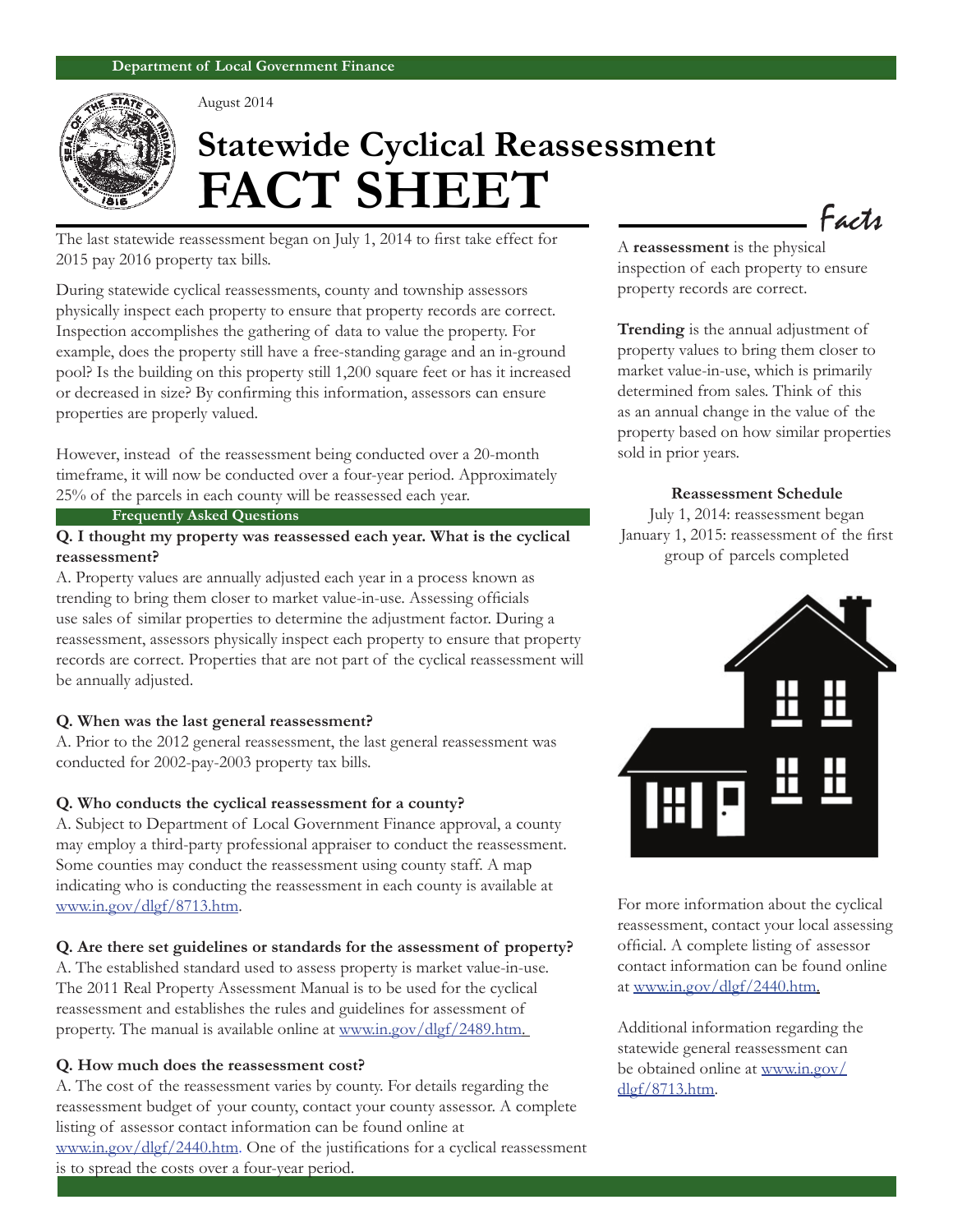

August 2014

# **Statewide Cyclical Reassessment FACT SHEET**

The last statewide reassessment began on July 1, 2014 to first take effect for 2015 pay 2016 property tax bills.

During statewide cyclical reassessments, county and township assessors physically inspect each property to ensure that property records are correct. Inspection accomplishes the gathering of data to value the property. For example, does the property still have a free-standing garage and an in-ground pool? Is the building on this property still 1,200 square feet or has it increased or decreased in size? By confirming this information, assessors can ensure properties are properly valued.

However, instead of the reassessment being conducted over a 20-month timeframe, it will now be conducted over a four-year period. Approximately 25% of the parcels in each county will be reassessed each year.

#### **Frequently Asked Questions**

# **Q. I thought my property was reassessed each year. What is the cyclical reassessment?**

A. Property values are annually adjusted each year in a process known as trending to bring them closer to market value-in-use. Assessing officials use sales of similar properties to determine the adjustment factor. During a reassessment, assessors physically inspect each property to ensure that property records are correct. Properties that are not part of the cyclical reassessment will be annually adjusted.

#### **Q. When was the last general reassessment?**

A. Prior to the 2012 general reassessment, the last general reassessment was conducted for 2002-pay-2003 property tax bills.

#### **Q. Who conducts the cyclical reassessment for a county?**

A. Subject to Department of Local Government Finance approval, a county may employ a third-party professional appraiser to conduct the reassessment. Some counties may conduct the reassessment using county staff. A map indicating who is conducting the reassessment in each county is available at www.in.gov/dlgf/8713.htm.

#### **Q. Are there set guidelines or standards for the assessment of property?**

A. The established standard used to assess property is market value-in-use. The 2011 Real Property Assessment Manual is to be used for the cyclical reassessment and establishes the rules and guidelines for assessment of property. The manual is available online at www.in.gov/dlgf/2489.htm.

#### **Q. How much does the reassessment cost?**

A. The cost of the reassessment varies by county. For details regarding the reassessment budget of your county, contact your county assessor. A complete listing of assessor contact information can be found online at

www.in.gov/dlgf/2440.htm. One of the justifications for a cyclical reassessment is to spread the costs over a four-year period.

Facts

A **reassessment** is the physical inspection of each property to ensure property records are correct.

**Trending** is the annual adjustment of property values to bring them closer to market value-in-use, which is primarily determined from sales. Think of this as an annual change in the value of the property based on how similar properties sold in prior years.

#### **Reassessment Schedule**

July 1, 2014: reassessment began January 1, 2015: reassessment of the first group of parcels completed



For more information about the cyclical reassessment, contact your local assessing official. A complete listing of assessor contact information can be found online at www.in.gov/dlgf/2440.htm.

Additional information regarding the statewide general reassessment can be obtained online at www.in.gov/ dlgf/8713.htm.